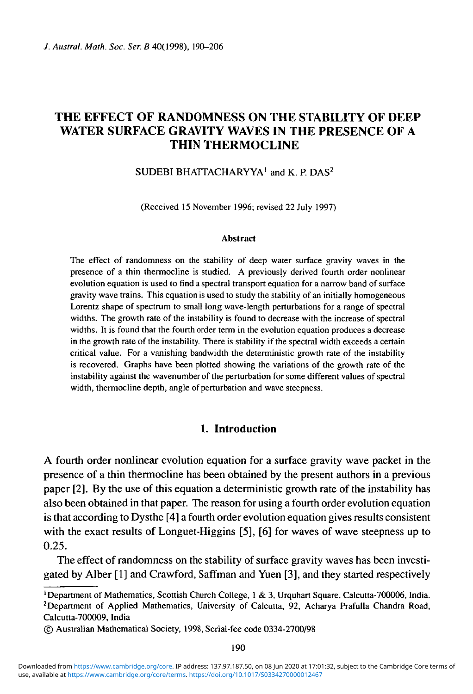# THE EFFECT OF RANDOMNESS ON THE STABILITY OF DEEP WATER SURFACE GRAVITY WAVES IN THE PRESENCE OF A THIN THERMOCLINE

## SUDEBI BHATTACHARYYA<sup>1</sup> and K. P. DAS<sup>2</sup>

(Received 15 November 1996; revised 22 July 1997)

#### **Abstract**

The effect of randomness on the stability of deep water surface gravity waves in the presence of a thin thermocline is studied. A previously derived fourth order nonlinear evolution equation is used to find a spectral transport equation for a narrow band of surface gravity wave trains. This equation is used to study the stability of an initially homogeneous Lorentz shape of spectrum to small long wave-length perturbations for a range of spectral widths. The growth rate of the instability is found to decrease with the increase of spectral widths. It is found that the fourth order term in the evolution equation produces a decrease in the growth rate of the instability. There is stability if the spectral width exceeds a certain critical value. For a vanishing bandwidth the deterministic growth rate of the instability is recovered. Graphs have been plotted showing the variations of the growth rate of the instability against the wavenumber of the perturbation for some different values of spectral width, thermocline depth, angle of perturbation and wave steepness.

### **1. Introduction**

A fourth order nonlinear evolution equation for a surface gravity wave packet in the presence of a thin thermocline has been obtained by the present authors in a previous paper [2]. By the use of this equation a deterministic growth rate of the instability has also been obtained in that paper. The reason for using a fourth order evolution equation is that according to Dysthe [4] a fourth order evolution equation gives results consistent with the exact results of Longuet-Higgins [5], [6] for waves of wave steepness up to 0.25.

The effect of randomness on the stability of surface gravity waves has been investigated by Alber [1] and Crawford, Saffman and Yuen [3], and they started respectively

<sup>&</sup>lt;sup>1</sup>Department of Mathematics, Scottish Church College, 1 & 3, Urquhart Square, Calcutta-700006, India.<br><sup>2</sup>Department of Applied Mathematics, University of Calcutta, 92, Acharya Prafulla Chardra Boad Department of Applied Mathematics, University of Calcutta, 92, Acharya Prafulla Chandra Road, Calcutta-700009, India

<sup>©</sup> Australian Mathematical Society, 1998, Serial-fee code 0334-2700/98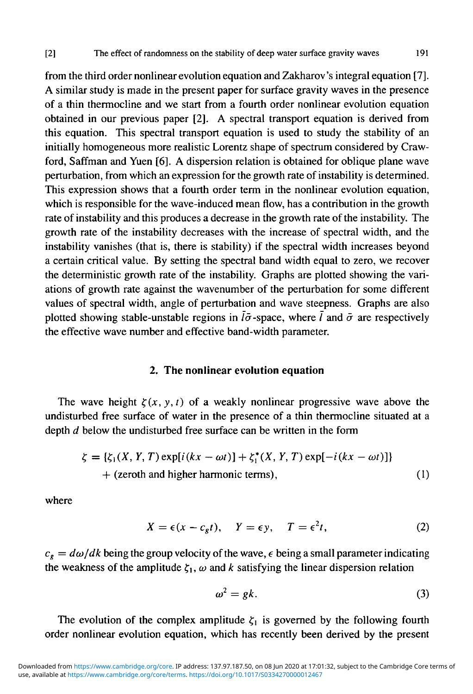from the third order nonlinear evolution equation and Zakharov's integral equation [7]. A similar study is made in the present paper for surface gravity waves in the presence of a thin thermocline and we start from a fourth order nonlinear evolution equation obtained in our previous paper [2]. A spectral transport equation is derived from this equation. This spectral transport equation is used to study the stability of an initially homogeneous more realistic Lorentz shape of spectrum considered by Crawford, Saffman and Yuen [6]. A dispersion relation is obtained for oblique plane wave perturbation, from which an expression for the growth rate of instability is determined. This expression shows that a fourth order term in the nonlinear evolution equation, which is responsible for the wave-induced mean flow, has a contribution in the growth rate of instability and this produces a decrease in the growth rate of the instability. The growth rate of the instability decreases with the increase of spectral width, and the instability vanishes (that is, there is stability) if the spectral width increases beyond a certain critical value. By setting the spectral band width equal to zero, we recover the deterministic growth rate of the instability. Graphs are plotted showing the variations of growth rate against the wavenumber of the perturbation for some different values of spectral width, angle of perturbation and wave steepness. Graphs are also

plotted showing stable-unstable regions in  $l\bar{\sigma}$ -space, where  $\bar{l}$  and  $\bar{\sigma}$  are respectively the effective wave number and effective band-width parameter.

#### **2. The nonlinear evolution equation**

The wave height  $\zeta(x, y, t)$  of a weakly nonlinear progressive wave above the undisturbed free surface of water in the presence of a thin thermocline situated at a depth *d* below the undisturbed free surface can be written in the form

$$
\zeta = {\zeta_1(X, Y, T) \exp[i(kx - \omega t)] + \zeta_1^*(X, Y, T) \exp[-i(kx - \omega t)]}
$$
  
+ (zeroth and higher harmonic terms), (1)

where

$$
X = \epsilon(x - c_g t), \quad Y = \epsilon y, \quad T = \epsilon^2 t,
$$
 (2)

 $c_g = d\omega/dk$  being the group velocity of the wave,  $\epsilon$  being a small parameter indicating the weakness of the amplitude  $\zeta_1$ ,  $\omega$  and k satisfying the linear dispersion relation

$$
\omega^2 = gk. \tag{3}
$$

The evolution of the complex amplitude  $\zeta_1$  is governed by the following fourth order nonlinear evolution equation, which has recently been derived by the present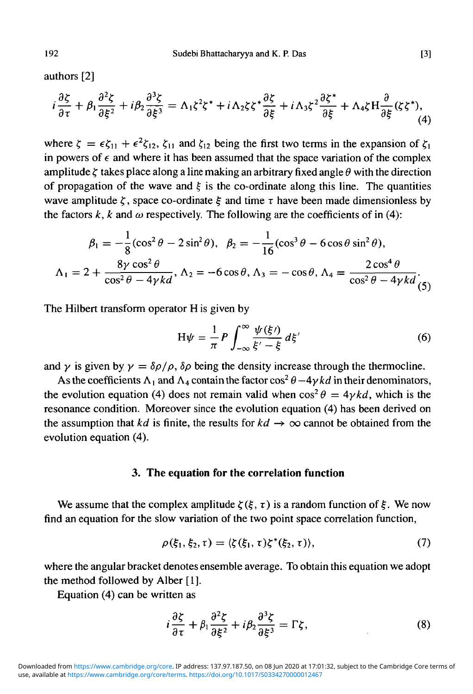authors [2]

$$
i\frac{\partial \xi}{\partial \tau} + \beta_1 \frac{\partial^2 \xi}{\partial \xi^2} + i\beta_2 \frac{\partial^3 \xi}{\partial \xi^3} = \Lambda_1 \xi^2 \xi^* + i\Lambda_2 \xi \xi^* \frac{\partial \xi}{\partial \xi} + i\Lambda_3 \xi^2 \frac{\partial \xi^*}{\partial \xi} + \Lambda_4 \xi H \frac{\partial}{\partial \xi} (\xi \xi^*), \tag{4}
$$

where  $\zeta = \epsilon \zeta_{11} + \epsilon^2 \zeta_{12}$ ,  $\zeta_{11}$  and  $\zeta_{12}$  being the first two terms in the expansion of  $\zeta_1$ in powers of  $\epsilon$  and where it has been assumed that the space variation of the complex amplitude  $\zeta$  takes place along a line making an arbitrary fixed angle  $\theta$  with the direction of propagation of the wave and  $\xi$  is the co-ordinate along this line. The quantities wave amplitude  $\zeta$ , space co-ordinate  $\xi$  and time  $\tau$  have been made dimensionless by the factors  $k$ ,  $k$  and  $\omega$  respectively. The following are the coefficients of in (4):

$$
\beta_1 = -\frac{1}{8}(\cos^2\theta - 2\sin^2\theta), \ \ \beta_2 = -\frac{1}{16}(\cos^3\theta - 6\cos\theta\sin^2\theta),
$$

$$
\Lambda_1 = 2 + \frac{8\gamma\cos^2\theta}{\cos^2\theta - 4\gamma kd}, \ \Lambda_2 = -6\cos\theta, \ \Lambda_3 = -\cos\theta, \ \Lambda_4 = \frac{2\cos^4\theta}{\cos^2\theta - 4\gamma kd},
$$

The Hilbert transform operator H is given by

$$
H\psi = \frac{1}{\pi} P \int_{-\infty}^{\infty} \frac{\psi(\xi)}{\xi' - \xi} d\xi'
$$
 (6)

and  $\gamma$  is given by  $\gamma = \delta \rho / \rho$ ,  $\delta \rho$  being the density increase through the thermocline.

As the coefficients  $\Lambda_1$  and  $\Lambda_4$  contain the factor cos<sup>2</sup>  $\theta$  -4 $\gamma$ *kd* in their denominators, the evolution equation (4) does not remain valid when  $\cos^2 \theta = 4 \gamma k d$ , which is the resonance condition. Moreover since the evolution equation (4) has been derived on the assumption that *kd* is finite, the results for  $kd \rightarrow \infty$  cannot be obtained from the evolution equation (4).

#### **3. The equation for the correlation function**

We assume that the complex amplitude  $\zeta(\xi, \tau)$  is a random function of  $\xi$ . We now find an equation for the slow variation of the two point space correlation function,

$$
\rho(\xi_1,\xi_2,\tau)=\langle \zeta(\xi_1,\tau)\zeta^*(\xi_2,\tau) \rangle, \qquad (7)
$$

where the angular bracket denotes ensemble average. To obtain this equation we adopt the method followed by Alber [1].

Equation (4) can be written as

$$
i\frac{\partial \zeta}{\partial \tau} + \beta_1 \frac{\partial^2 \zeta}{\partial \xi^2} + i\beta_2 \frac{\partial^3 \zeta}{\partial \xi^3} = \Gamma \zeta, \tag{8}
$$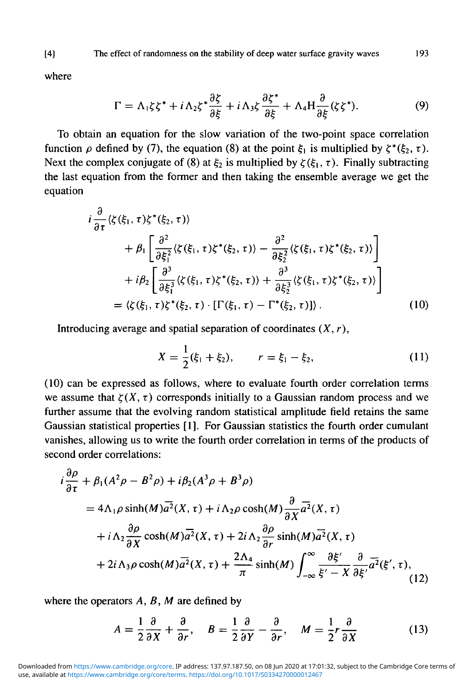where

$$
\Gamma = \Lambda_1 \zeta \zeta^* + i \Lambda_2 \zeta^* \frac{\partial \zeta}{\partial \xi} + i \Lambda_3 \zeta \frac{\partial \zeta^*}{\partial \xi} + \Lambda_4 H \frac{\partial}{\partial \xi} (\zeta \zeta^*).
$$
 (9)

To obtain an equation for the slow variation of the two-point space correlation function  $\rho$  defined by (7), the equation (8) at the point  $\xi_1$  is multiplied by  $\zeta^*(\xi_2, \tau)$ . Next the complex conjugate of (8) at  $\xi_2$  is multiplied by  $\zeta(\xi_1, \tau)$ . Finally subtracting the last equation from the former and then taking the ensemble average we get the equation

$$
i\frac{\partial}{\partial \tau}\langle \zeta(\xi_1, \tau)\zeta^*(\xi_2, \tau) \rangle
$$
  
+  $\beta_1 \left[ \frac{\partial^2}{\partial \xi_1^2} \langle \zeta(\xi_1, \tau)\zeta^*(\xi_2, \tau) \rangle - \frac{\partial^2}{\partial \xi_2^2} \langle \zeta(\xi_1, \tau)\zeta^*(\xi_2, \tau) \rangle \right]$   
+  $i\beta_2 \left[ \frac{\partial^3}{\partial \xi_1^3} \langle \zeta(\xi_1, \tau)\zeta^*(\xi_2, \tau) \rangle + \frac{\partial^3}{\partial \xi_2^3} \langle \zeta(\xi_1, \tau)\zeta^*(\xi_2, \tau) \rangle \right]$   
=  $\langle \zeta(\xi_1, \tau)\zeta^*(\xi_2, \tau) \cdot [\Gamma(\xi_1, \tau) - \Gamma^*(\xi_2, \tau)] \rangle$ . (10)

Introducing average and spatial separation of coordinates *(X, r),*

$$
X = \frac{1}{2}(\xi_1 + \xi_2), \qquad r = \xi_1 - \xi_2, \tag{11}
$$

(10) can be expressed as follows, where to evaluate fourth order correlation terms we assume that  $\zeta(X, \tau)$  corresponds initially to a Gaussian random process and we further assume that the evolving random statistical amplitude field retains the same Gaussian statistical properties [1]. For Gaussian statistics the fourth order cumulant vanishes, allowing us to write the fourth order correlation in terms of the products of second order correlations:

$$
i\frac{\partial \rho}{\partial \tau} + \beta_1 (A^2 \rho - B^2 \rho) + i\beta_2 (A^3 \rho + B^3 \rho)
$$
  
=  $4\Lambda_1 \rho \sinh(M) \overline{a^2}(X, \tau) + i\Lambda_2 \rho \cosh(M) \frac{\partial}{\partial X} \overline{a^2}(X, \tau)$   
+  $i\Lambda_2 \frac{\partial \rho}{\partial X} \cosh(M) \overline{a^2}(X, \tau) + 2i\Lambda_2 \frac{\partial \rho}{\partial r} \sinh(M) \overline{a^2}(X, \tau)$   
+  $2i\Lambda_3 \rho \cosh(M) \overline{a^2}(X, \tau) + \frac{2\Lambda_4}{\pi} \sinh(M) \int_{-\infty}^{\infty} \frac{\partial \xi'}{\xi' - X} \frac{\partial}{\partial \xi'} \overline{a^2}(\xi', \tau),$  (12)

where the operators *A, B, M* are defined by

$$
A = \frac{1}{2} \frac{\partial}{\partial X} + \frac{\partial}{\partial r}, \quad B = \frac{1}{2} \frac{\partial}{\partial Y} - \frac{\partial}{\partial r}, \quad M = \frac{1}{2} r \frac{\partial}{\partial X}
$$
(13)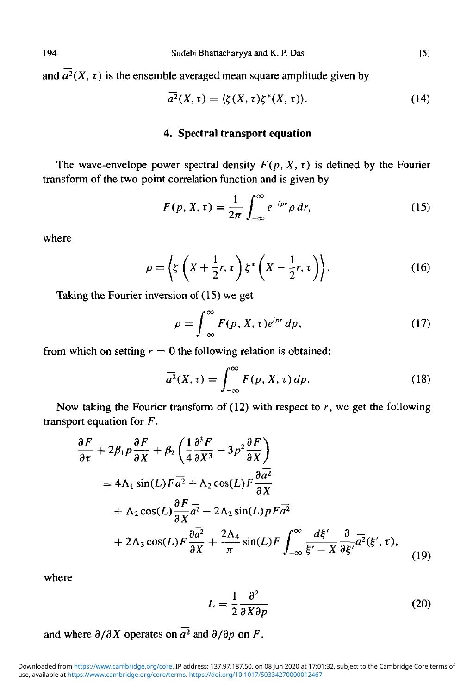and  $\overline{a^2}(X, \tau)$  is the ensemble averaged mean square amplitude given by

$$
\overline{a^2}(X,\tau) = \langle \zeta(X,\tau)\zeta^*(X,\tau) \rangle. \tag{14}
$$

## **4. Spectral transport equation**

The wave-envelope power spectral density  $F(p, X, \tau)$  is defined by the Fourier transform of the two-point correlation function and is given by

$$
F(p, X, \tau) = \frac{1}{2\pi} \int_{-\infty}^{\infty} e^{-ipr} \rho dr,
$$
 (15)

where

$$
\rho = \left\langle \zeta \left( X + \frac{1}{2} r, \tau \right) \zeta^* \left( X - \frac{1}{2} r, \tau \right) \right\rangle. \tag{16}
$$

Taking the Fourier inversion of (15) we get

$$
\rho = \int_{-\infty}^{\infty} F(p, X, \tau) e^{ipr} dp,
$$
\n(17)

from which on setting  $r = 0$  the following relation is obtained:

$$
\overline{a^2}(X,\tau) = \int_{-\infty}^{\infty} F(p,X,\tau) \, dp. \tag{18}
$$

Now taking the Fourier transform of (12) with respect to *r,* we get the following transport equation for *F.*

$$
\frac{\partial F}{\partial \tau} + 2\beta_1 p \frac{\partial F}{\partial X} + \beta_2 \left( \frac{1}{4} \frac{\partial^3 F}{\partial X^3} - 3p^2 \frac{\partial F}{\partial X} \right)
$$
  
=  $4\Lambda_1 \sin(L) F \overline{a^2} + \Lambda_2 \cos(L) F \frac{\partial \overline{a^2}}{\partial X}$   
+  $\Lambda_2 \cos(L) \frac{\partial F}{\partial X} \overline{a^2} - 2\Lambda_2 \sin(L) p F \overline{a^2}$   
+  $2\Lambda_3 \cos(L) F \frac{\partial \overline{a^2}}{\partial X} + \frac{2\Lambda_4}{\pi} \sin(L) F \int_{-\infty}^{\infty} \frac{d\xi'}{\xi' - X} \frac{\partial}{\partial \xi'} \overline{a^2}(\xi', \tau),$  (19)

where

$$
L = \frac{1}{2} \frac{\partial^2}{\partial X \partial p}
$$
 (20)

and where 
$$
\partial/\partial X
$$
 operates on  $\overline{a^2}$  and  $\partial/\partial p$  on *F*.

use, available at <https://www.cambridge.org/core/terms>.<https://doi.org/10.1017/S0334270000012467> Downloaded from [https://www.cambridge.org/core.](https://www.cambridge.org/core) IP address: 137.97.187.50, on 08 Jun 2020 at 17:01:32, subject to the Cambridge Core terms of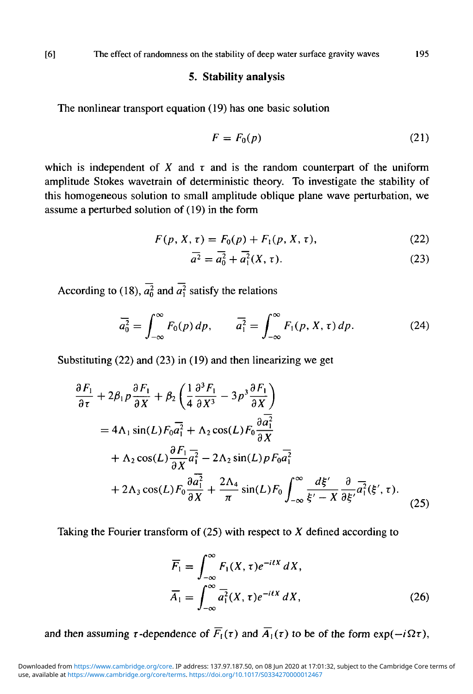#### **5. Stability analysis**

The nonlinear transport equation (19) has one basic solution

$$
F = F_0(p) \tag{21}
$$

which is independent of  $X$  and  $\tau$  and is the random counterpart of the uniform amplitude Stokes wavetrain of deterministic theory. To investigate the stability of this homogeneous solution to small amplitude oblique plane wave perturbation, we assume a perturbed solution of (19) in the form

$$
F(p, X, \tau) = F_0(p) + F_1(p, X, \tau), \tag{22}
$$

$$
\overline{a^2} = \overline{a_0^2} + \overline{a_1^2}(X, \tau).
$$
 (23)

According to (18),  $\overline{a_0^2}$  and  $\overline{a_1^2}$  satisfy the relations

$$
\overline{a_0^2} = \int_{-\infty}^{\infty} F_0(p) \, dp, \qquad \overline{a_1^2} = \int_{-\infty}^{\infty} F_1(p, X, \tau) \, dp. \tag{24}
$$

Substituting (22) and (23) in (19) and then linearizing we get

$$
\frac{\partial F_1}{\partial \tau} + 2\beta_1 p \frac{\partial F_1}{\partial X} + \beta_2 \left( \frac{1}{4} \frac{\partial^3 F_1}{\partial X^3} - 3p^3 \frac{\partial F_1}{\partial X} \right)
$$
  
\n=  $4\Lambda_1 \sin(L) F_0 \overline{a_1^2} + \Lambda_2 \cos(L) F_0 \frac{\partial \overline{a_1^2}}{\partial X}$   
\n+  $\Lambda_2 \cos(L) \frac{\partial F_1}{\partial X} \overline{a_1^2} - 2\Lambda_2 \sin(L) p F_0 \overline{a_1^2}$   
\n+  $2\Lambda_3 \cos(L) F_0 \frac{\partial \overline{a_1^2}}{\partial X} + \frac{2\Lambda_4}{\pi} \sin(L) F_0 \int_{-\infty}^{\infty} \frac{d\xi'}{\xi' - X} \frac{\partial}{\partial \xi'} \overline{a_1^2} (\xi', \tau).$  (25)

Taking the Fourier transform of (25) with respect to *X* defined according to

$$
\overline{F}_1 = \int_{-\infty}^{\infty} F_1(X, \tau) e^{-itX} dX,
$$
  
\n
$$
\overline{A}_1 = \int_{-\infty}^{\infty} \overline{a}_1^2(X, \tau) e^{-itX} dX,
$$
\n(26)

and then assuming  $\tau$ -dependence of  $\overline{F}_1(\tau)$  and  $\overline{A}_1(\tau)$  to be of the form exp( $-i\Omega\tau$ ),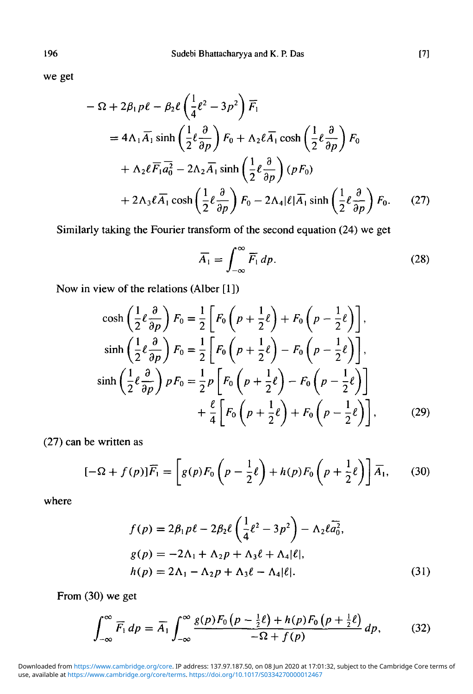we get

$$
- \Omega + 2\beta_1 p\ell - \beta_2 \ell \left(\frac{1}{4}\ell^2 - 3p^2\right) \overline{F}_1
$$
  
=  $4\Lambda_1 \overline{A}_1 \sinh\left(\frac{1}{2}\ell \frac{\partial}{\partial p}\right) F_0 + \Lambda_2 \ell \overline{A}_1 \cosh\left(\frac{1}{2}\ell \frac{\partial}{\partial p}\right) F_0$   
+  $\Lambda_2 \ell \overline{F}_1 \overline{a_0^2} - 2\Lambda_2 \overline{A}_1 \sinh\left(\frac{1}{2}\ell \frac{\partial}{\partial p}\right) (pF_0)$   
+  $2\Lambda_3 \ell \overline{A}_1 \cosh\left(\frac{1}{2}\ell \frac{\partial}{\partial p}\right) F_0 - 2\Lambda_4 |\ell| \overline{A}_1 \sinh\left(\frac{1}{2}\ell \frac{\partial}{\partial p}\right) F_0.$  (27)

Similarly taking the Fourier transform of the second equation (24) we get

$$
\overline{A}_1 = \int_{-\infty}^{\infty} \overline{F}_1 \, dp. \tag{28}
$$

Now in view of the relations (Alber [1])

$$
\cosh\left(\frac{1}{2}\ell\frac{\partial}{\partial p}\right)F_0 = \frac{1}{2}\left[F_0\left(p + \frac{1}{2}\ell\right) + F_0\left(p - \frac{1}{2}\ell\right)\right],
$$
  
\n
$$
\sinh\left(\frac{1}{2}\ell\frac{\partial}{\partial p}\right)F_0 = \frac{1}{2}\left[F_0\left(p + \frac{1}{2}\ell\right) - F_0\left(p - \frac{1}{2}\ell\right)\right],
$$
  
\n
$$
\sinh\left(\frac{1}{2}\ell\frac{\partial}{\partial p}\right)pF_0 = \frac{1}{2}p\left[F_0\left(p + \frac{1}{2}\ell\right) - F_0\left(p - \frac{1}{2}\ell\right)\right]
$$
  
\n
$$
+ \frac{\ell}{4}\left[F_0\left(p + \frac{1}{2}\ell\right) + F_0\left(p - \frac{1}{2}\ell\right)\right],
$$
\n(29)

(27) can be written as

$$
[-\Omega + f(p)]\overline{F}_1 = \left[g(p)F_0\left(p - \frac{1}{2}\ell\right) + h(p)F_0\left(p + \frac{1}{2}\ell\right)\right]\overline{A}_1,\qquad(30)
$$

where

$$
f(p) = 2\beta_1 p\ell - 2\beta_2 \ell \left(\frac{1}{4}\ell^2 - 3p^2\right) - \Lambda_2 \ell \overline{a_0^2},
$$
  
\n
$$
g(p) = -2\Lambda_1 + \Lambda_2 p + \Lambda_3 \ell + \Lambda_4 |\ell|,
$$
  
\n
$$
h(p) = 2\Lambda_1 - \Lambda_2 p + \Lambda_3 \ell - \Lambda_4 |\ell|.
$$
\n(31)

From (30) we get

$$
\int_{-\infty}^{\infty} \overline{F_1} dp = \overline{A_1} \int_{-\infty}^{\infty} \frac{g(p) F_0\left(p - \frac{1}{2}\ell\right) + h(p) F_0\left(p + \frac{1}{2}\ell\right)}{-\Omega + f(p)} dp, \tag{32}
$$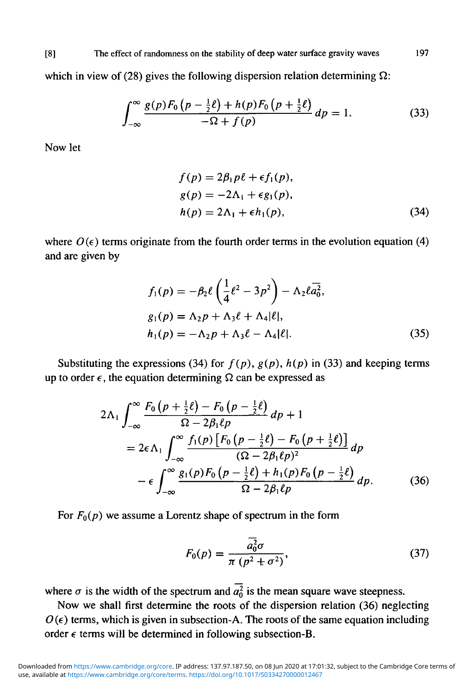[8] The effect of randomness on the stability of deep water surface gravity waves 197

which in view of (28) gives the following dispersion relation determining *Q:*

$$
\int_{-\infty}^{\infty} \frac{g(p)F_0(p - \frac{1}{2}\ell) + h(p)F_0(p + \frac{1}{2}\ell)}{-\Omega + f(p)} dp = 1.
$$
 (33)

Now let

$$
f(p) = 2\beta_1 p\ell + \epsilon f_1(p),
$$
  
\n
$$
g(p) = -2\Lambda_1 + \epsilon g_1(p),
$$
  
\n
$$
h(p) = 2\Lambda_1 + \epsilon h_1(p),
$$
\n(34)

where  $O(\epsilon)$  terms originate from the fourth order terms in the evolution equation (4) and are given by

$$
f_1(p) = -\beta_2 \ell \left( \frac{1}{4} \ell^2 - 3p^2 \right) - \Lambda_2 \ell \overline{a_0^2},
$$
  
\n
$$
g_1(p) = \Lambda_2 p + \Lambda_3 \ell + \Lambda_4 |\ell|,
$$
  
\n
$$
h_1(p) = -\Lambda_2 p + \Lambda_3 \ell - \Lambda_4 |\ell|.
$$
\n(35)

Substituting the expressions (34) for  $f(p)$ ,  $g(p)$ ,  $h(p)$  in (33) and keeping terms up to order  $\epsilon$ , the equation determining  $\Omega$  can be expressed as

$$
2\Lambda_1 \int_{-\infty}^{\infty} \frac{F_0(p+\frac{1}{2}\ell) - F_0(p-\frac{1}{2}\ell)}{\Omega - 2\beta_1 \ell p} dp + 1
$$
  
=  $2\epsilon \Lambda_1 \int_{-\infty}^{\infty} \frac{f_1(p) [F_0(p-\frac{1}{2}\ell) - F_0(p+\frac{1}{2}\ell)]}{(\Omega - 2\beta_1 \ell p)^2} dp$   
-  $\epsilon \int_{-\infty}^{\infty} \frac{g_1(p) F_0(p-\frac{1}{2}\ell) + h_1(p) F_0(p-\frac{1}{2}\ell)}{\Omega - 2\beta_1 \ell p} dp.$  (36)

For  $F_0(p)$  we assume a Lorentz shape of spectrum in the form

$$
F_0(p) = \frac{\overline{a_0^2} \sigma}{\pi (p^2 + \sigma^2)},
$$
\n(37)

where  $\sigma$  is the width of the spectrum and  $\overline{a_0^2}$  is the mean square wave steepness.

Now we shall first determine the roots of the dispersion relation (36) neglecting  $O(\epsilon)$  terms, which is given in subsection-A. The roots of the same equation including order  $\epsilon$  terms will be determined in following subsection-B.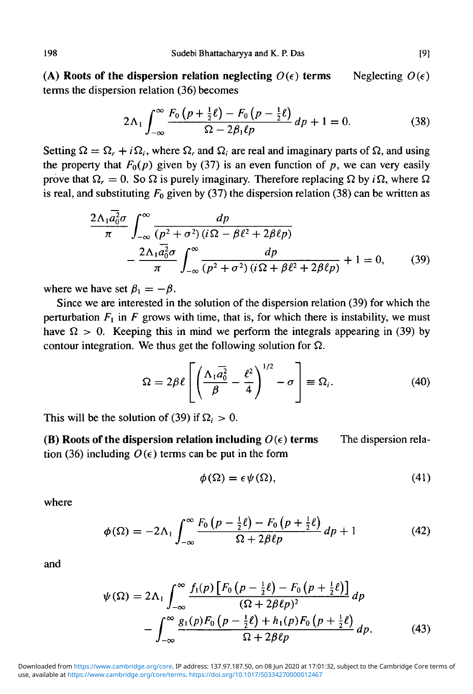**(A) Roots of the dispersion relation neglecting** *O(e)* **terms** terms the dispersion relation (36) becomes Neglecting *O(e)*

$$
2\Lambda_1 \int_{-\infty}^{\infty} \frac{F_0(p+\frac{1}{2}\ell) - F_0(p-\frac{1}{2}\ell)}{\Omega - 2\beta_1\ell p} dp + 1 = 0.
$$
 (38)

Setting  $\Omega = \Omega_r + i\Omega_i$ , where  $\Omega_r$  and  $\Omega_i$  are real and imaginary parts of  $\Omega$ , and using the property that  $F_0(p)$  given by (37) is an even function of p, we can very easily prove that  $\Omega_r = 0$ . So  $\Omega$  is purely imaginary. Therefore replacing  $\Omega$  by *i* $\Omega$ , where  $\Omega$ is real, and substituting  $F_0$  given by (37) the dispersion relation (38) can be written as

$$
\frac{2\Lambda_1 a_0^2 \sigma}{\pi} \int_{-\infty}^{\infty} \frac{dp}{(p^2 + \sigma^2)(i\Omega - \beta \ell^2 + 2\beta \ell p)}
$$

$$
- \frac{2\Lambda_1 a_0^2 \sigma}{\pi} \int_{-\infty}^{\infty} \frac{dp}{(p^2 + \sigma^2)(i\Omega + \beta \ell^2 + 2\beta \ell p)} + 1 = 0,
$$
(39)

where we have set  $\beta_1 = -\beta$ .

Since we are interested in the solution of the dispersion relation (39) for which the perturbation  $F_1$  in F grows with time, that is, for which there is instability, we must have  $\Omega > 0$ . Keeping this in mind we perform the integrals appearing in (39) by contour integration. We thus get the following solution for  $\Omega$ .

$$
\Omega = 2\beta \ell \left[ \left( \frac{\Lambda_1 \overline{a_0^2}}{\beta} - \frac{\ell^2}{4} \right)^{1/2} - \sigma \right] \equiv \Omega_i. \tag{40}
$$

This will be the solution of (39) if  $\Omega_i > 0$ .

The dispersion rela- **(B) Roots of the dispersion relation including** *O(e)* **terms** tion (36) including  $O(\epsilon)$  terms can be put in the form

$$
\phi(\Omega) = \epsilon \psi(\Omega),\tag{41}
$$

where

$$
\phi(\Omega) = -2\Lambda_1 \int_{-\infty}^{\infty} \frac{F_0\left(p - \frac{1}{2}\ell\right) - F_0\left(p + \frac{1}{2}\ell\right)}{\Omega + 2\beta\ell p} dp + 1\tag{42}
$$

and

$$
\psi(\Omega) = 2\Lambda_1 \int_{-\infty}^{\infty} \frac{f_1(p) \left[ F_0 \left( p - \frac{1}{2} \ell \right) - F_0 \left( p + \frac{1}{2} \ell \right) \right]}{(\Omega + 2\beta \ell p)^2} dp
$$

$$
- \int_{-\infty}^{\infty} \frac{g_1(p) F_0 \left( p - \frac{1}{2} \ell \right) + h_1(p) F_0 \left( p + \frac{1}{2} \ell \right)}{\Omega + 2\beta \ell p} dp. \tag{43}
$$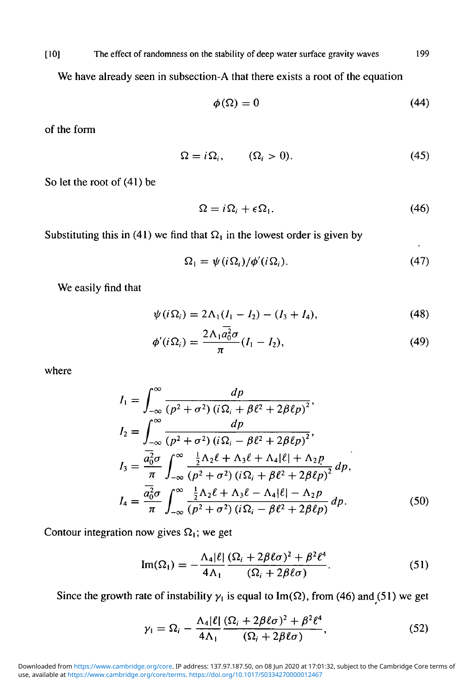[ 10] The effect of randomness on the stability of deep water surface gravity waves 199

We have already seen in subsection-A that there exists a root of the equation

$$
\phi(\Omega) = 0 \tag{44}
$$

of the form

$$
\Omega = i\Omega_i, \qquad (\Omega_i > 0). \tag{45}
$$

So let the root of (41) be

$$
\Omega = i\Omega_i + \epsilon \Omega_1. \tag{46}
$$

Substituting this in (41) we find that  $\Omega_1$  in the lowest order is given by

$$
\Omega_1 = \psi(i\Omega_i)/\phi'(i\Omega_i). \tag{47}
$$

We easily find that

$$
\psi(i\Omega_i) = 2\Lambda_1(I_1 - I_2) - (I_3 + I_4),\tag{48}
$$

$$
\phi'(i\Omega_i) = \frac{2\Lambda_1 a_0^2 \sigma}{\pi} (I_1 - I_2),\tag{49}
$$

where

$$
I_1 = \int_{-\infty}^{\infty} \frac{dp}{(p^2 + \sigma^2) (i\Omega_i + \beta \ell^2 + 2\beta \ell p)^2},
$$
  
\n
$$
I_2 = \int_{-\infty}^{\infty} \frac{dp}{(p^2 + \sigma^2) (i\Omega_i - \beta \ell^2 + 2\beta \ell p)^2},
$$
  
\n
$$
I_3 = \frac{\overline{a_0^2} \sigma}{\pi} \int_{-\infty}^{\infty} \frac{\frac{1}{2} \Lambda_2 \ell + \Lambda_3 \ell + \Lambda_4 |\ell| + \Lambda_2 p}{(p^2 + \sigma^2) (i\Omega_i + \beta \ell^2 + 2\beta \ell p)^2} dp,
$$
  
\n
$$
I_4 = \frac{\overline{a_0^2} \sigma}{\pi} \int_{-\infty}^{\infty} \frac{\frac{1}{2} \Lambda_2 \ell + \Lambda_3 \ell - \Lambda_4 |\ell| - \Lambda_2 p}{(p^2 + \sigma^2) (i\Omega_i - \beta \ell^2 + 2\beta \ell p)} dp.
$$
(50)

Contour integration now gives  $\Omega_1$ ; we get

$$
\operatorname{Im}(\Omega_1) = -\frac{\Lambda_4|\ell|}{4\Lambda_1} \frac{(\Omega_i + 2\beta\ell\sigma)^2 + \beta^2\ell^4}{(\Omega_i + 2\beta\ell\sigma)}.
$$
 (51)

Since the growth rate of instability  $\gamma_1$  is equal to Im( $\Omega$ ), from (46) and (51) we get

$$
\gamma_1 = \Omega_i - \frac{\Lambda_4 |\ell|}{4\Lambda_1} \frac{(\Omega_i + 2\beta \ell \sigma)^2 + \beta^2 \ell^4}{(\Omega_i + 2\beta \ell \sigma)},
$$
\n(52)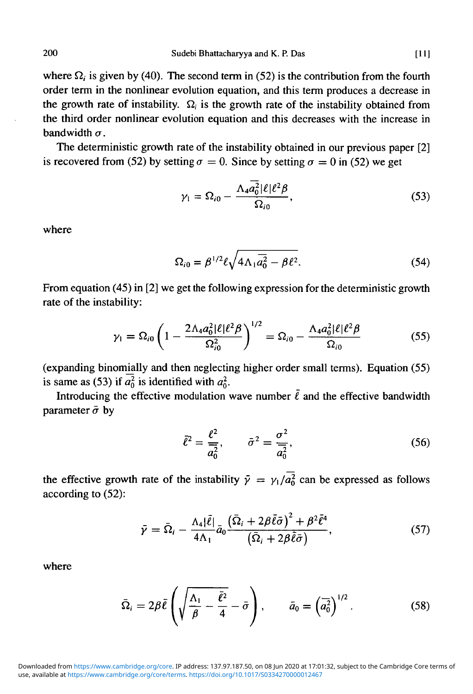where  $\Omega_i$  is given by (40). The second term in (52) is the contribution from the fourth order term in the nonlinear evolution equation, and this term produces a decrease in the growth rate of instability.  $\Omega_i$  is the growth rate of the instability obtained from the third order nonlinear evolution equation and this decreases with the increase in bandwidth  $\sigma$ .

The deterministic growth rate of the instability obtained in our previous paper [2] is recovered from (52) by setting  $\sigma = 0$ . Since by setting  $\sigma = 0$  in (52) we get

$$
\gamma_1 = \Omega_{i0} - \frac{\Lambda_4 \overline{a_0^2} |\ell| \ell^2 \beta}{\Omega_{i0}},\tag{53}
$$

where

$$
\Omega_{i0} = \beta^{1/2} \ell \sqrt{4 \Lambda_1 \overline{a_0^2} - \beta \ell^2}.
$$
 (54)

From equation (45) in [2] we get the following expression for the deterministic growth rate of the instability:

$$
\gamma_1 = \Omega_{i0} \left( 1 - \frac{2 \Lambda_4 a_0^2 |\ell| \ell^2 \beta}{\Omega_{i0}^2} \right)^{1/2} = \Omega_{i0} - \frac{\Lambda_4 a_0^2 |\ell| \ell^2 \beta}{\Omega_{i0}} \tag{55}
$$

(expanding binomially and then neglecting higher order small terms). Equation (55) is same as (53) if  $\overline{a_0^2}$  is identified with  $a_0^2$ .

Introducing the effective modulation wave number  $\tilde{\ell}$  and the effective bandwidth parameter  $\bar{\sigma}$  by

$$
\bar{\ell}^2 = \frac{\ell^2}{\bar{a}_0^2}, \qquad \bar{\sigma}^2 = \frac{\sigma^2}{\bar{a}_0^2}, \tag{56}
$$

the effective growth rate of the instability  $\bar{\gamma} = \gamma_1 / \bar{a_0^2}$  can be expressed as follows according to (52):

$$
\bar{\gamma} = \bar{\Omega}_i - \frac{\Lambda_4 |\bar{\ell}|}{4\Lambda_1} \bar{a}_0 \frac{\left(\bar{\Omega}_i + 2\beta \bar{\ell}\bar{\sigma}\right)^2 + \beta^2 \bar{\ell}^4}{\left(\bar{\Omega}_i + 2\beta \bar{\ell}\bar{\sigma}\right)},\tag{57}
$$

where

$$
\bar{\Omega}_i = 2\beta \bar{\ell} \left( \sqrt{\frac{\Lambda_1}{\beta} - \frac{\bar{\ell}^2}{4}} - \bar{\sigma} \right), \qquad \bar{a}_0 = \left( \bar{a}_0^2 \right)^{1/2}.
$$
 (58)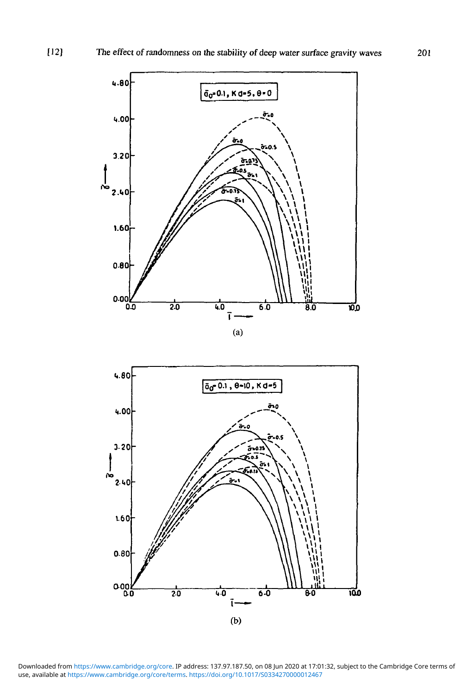

Downloaded from https://www.cambridge.org/core. IP address: 137.97.187.50, on 08 Jun 2020 at 17:01:32, subject to the Cambridge Core terms of<br>use, available at <https://www.cambridge.org/core/terms>. https://doi.org/10.1017/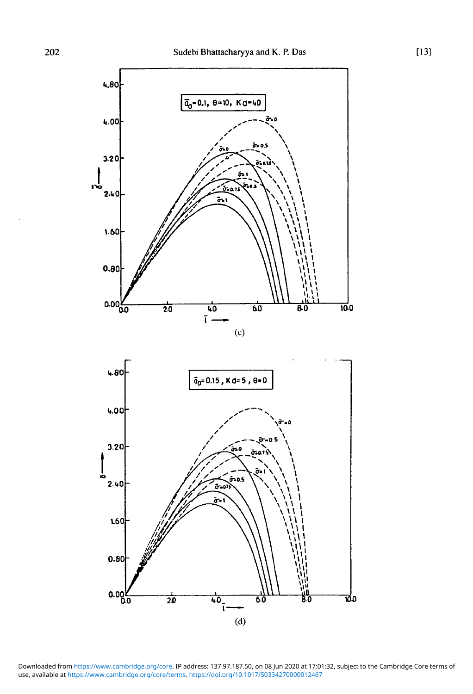

Downloaded from https://www.cambridge.org/core. IP address: 137.97.187.50, on 08 Jun 2020 at 17:01:32, subject to the Cambridge Core terms of<br>use, available at <https://www.cambridge.org/core/terms>. https://doi.org/10.1017/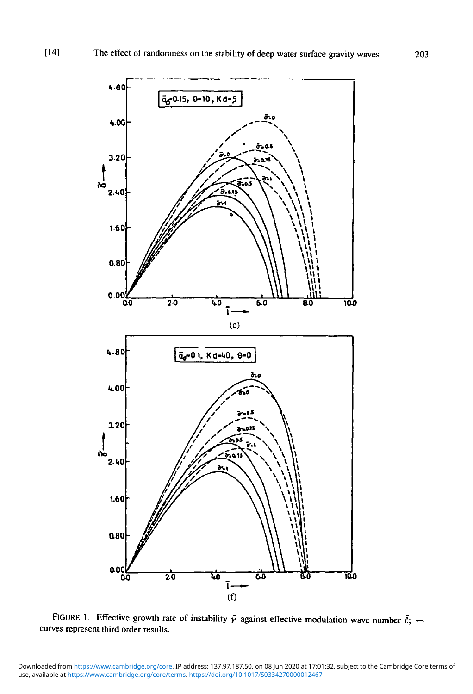

FIGURE 1. Effective growth rate of instability  $\bar{y}$  against effective modulation wave number  $\bar{\ell}$ ; curves represent third order results.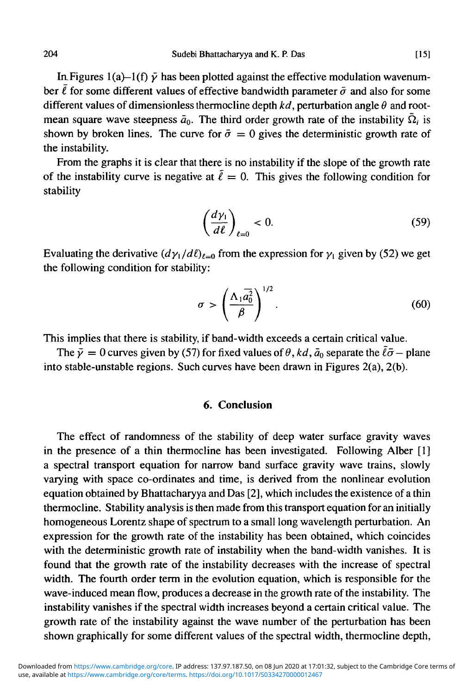In Figures 1(a)–1(f)  $\bar{y}$  has been plotted against the effective modulation wavenumber  $\bar{\ell}$  for some different values of effective bandwidth parameter  $\bar{\sigma}$  and also for some different values of dimensionless thermocline depth  $kd$ , perturbation angle  $\theta$  and rootmean square wave steepness  $\bar{a}_0$ . The third order growth rate of the instability  $\bar{\Omega}_i$  is shown by broken lines. The curve for  $\bar{\sigma} = 0$  gives the deterministic growth rate of the instability.

From the graphs it is clear that there is no instability if the slope of the growth rate of the instability curve is negative at  $\ell = 0$ . This gives the following condition for stability

$$
\left(\frac{d\gamma_1}{d\ell}\right)_{\ell=0} < 0. \tag{59}
$$

Evaluating the derivative  $(d\gamma_1/d\ell)_{\ell=0}$  from the expression for  $\gamma_1$  given by (52) we get the following condition for stability:

$$
\sigma > \left(\frac{\Lambda_1 \overline{a_0^2}}{\beta}\right)^{1/2}.\tag{60}
$$

This implies that there is stability, if band-width exceeds a certain critical value.

The  $\bar{y} = 0$  curves given by (57) for fixed values of  $\theta$ , kd,  $\bar{a}_0$  separate the  $\bar{\ell}\bar{\sigma}$  – plane into stable-unstable regions. Such curves have been drawn in Figures 2(a), 2(b).

#### **6. Conclusion**

The effect of randomness of the stability of deep water surface gravity waves in the presence of a thin thermocline has been investigated. Following Alber [1] a spectral transport equation for narrow band surface gravity wave trains, slowly varying with space co-ordinates and time, is derived from the nonlinear evolution equation obtained by Bhattacharyya and Das [2], which includes the existence of a thin thermocline. Stability analysis is then made from this transport equation for an initially homogeneous Lorentz shape of spectrum to a small long wavelength perturbation. An expression for the growth rate of the instability has been obtained, which coincides with the deterministic growth rate of instability when the band-width vanishes. It is found that the growth rate of the instability decreases with the increase of spectral width. The fourth order term in the evolution equation, which is responsible for the wave-induced mean flow, produces a decrease in the growth rate of the instability. The instability vanishes if the spectral width increases beyond a certain critical value. The growth rate of the instability against the wave number of the perturbation has been shown graphically for some different values of the spectral width, thermocline depth,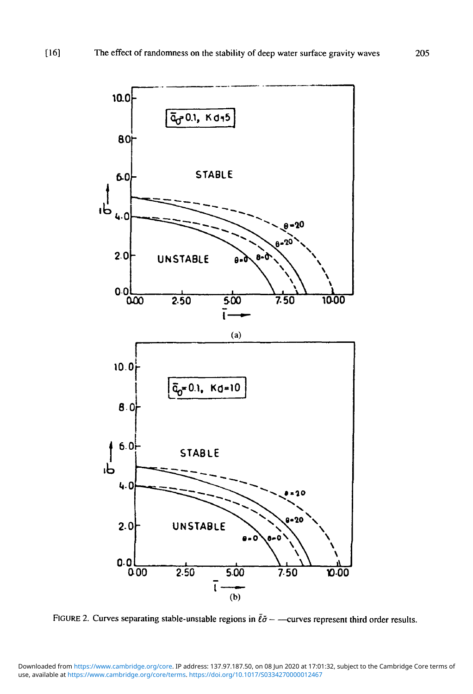

FIGURE 2. Curves separating stable-unstable regions in  $\bar{\ell}\bar{\sigma}$  - -curves represent third order results.